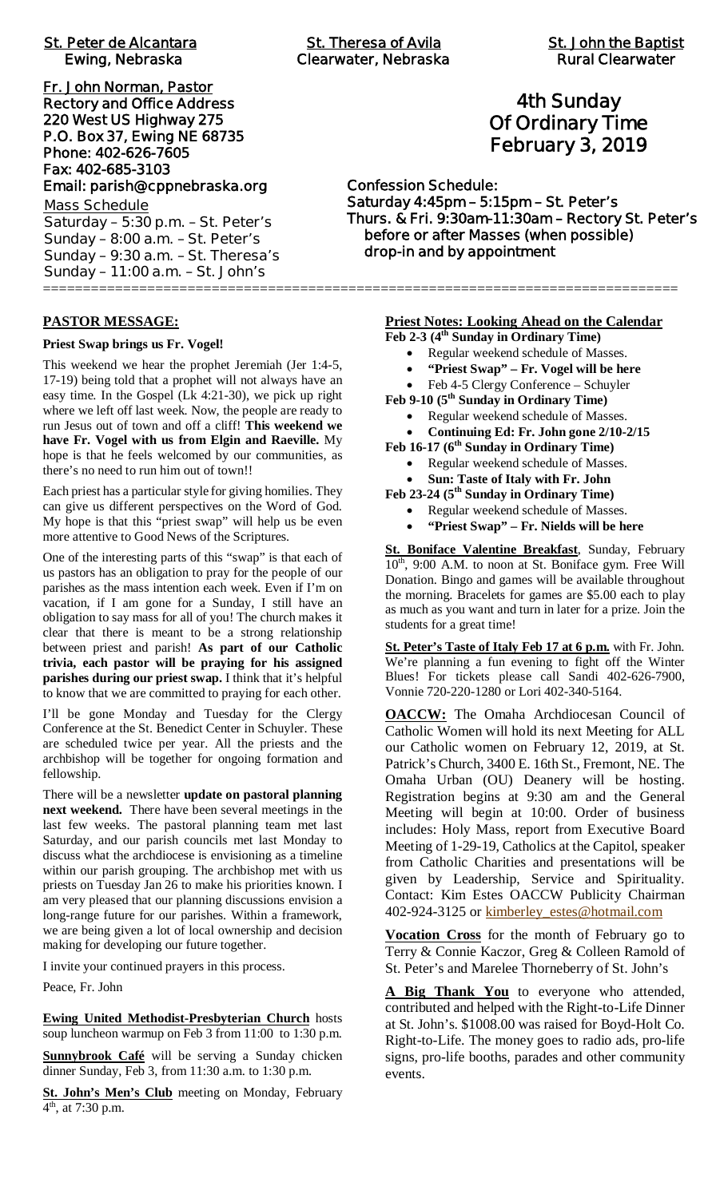| <b>St. Theresa of Avila</b><br><b>Clearwater, Nebraska</b>                                          | <b>St. John the Baptis</b><br><b>Rural Clearwater</b>                                     |  |
|-----------------------------------------------------------------------------------------------------|-------------------------------------------------------------------------------------------|--|
| <b>4th Sunday</b><br><b>Of Ordinary Time</b><br><b>February 3, 2019</b>                             |                                                                                           |  |
| <b>Confession Schedule:</b><br>Saturday 4:45pm - 5:15pm - St. Peter's<br>drop-in and by appointment | Thurs. & Fri. 9:30am-11:30am - Rectory St. Pete<br>before or after Masses (when possible) |  |
|                                                                                                     |                                                                                           |  |

# **PASTOR MESSAGE:**

**Priest Swap brings us Fr. Vogel!**

This weekend we hear the prophet Jeremiah (Jer 1:4-5, 17-19) being told that a prophet will not always have an easy time. In the Gospel (Lk 4:21-30), we pick up right where we left off last week. Now, the people are ready to run Jesus out of town and off a cliff! **This weekend we have Fr. Vogel with us from Elgin and Raeville.** My hope is that he feels welcomed by our communities, as there's no need to run him out of town!!

Each priest has a particular style for giving homilies. They can give us different perspectives on the Word of God. My hope is that this "priest swap" will help us be even more attentive to Good News of the Scriptures.

One of the interesting parts of this "swap" is that each of us pastors has an obligation to pray for the people of our parishes as the mass intention each week. Even if I'm on vacation, if I am gone for a Sunday, I still have an obligation to say mass for all of you! The church makes it clear that there is meant to be a strong relationship between priest and parish! **As part of our Catholic trivia, each pastor will be praying for his assigned parishes during our priest swap.** I think that it's helpful to know that we are committed to praying for each other.

I'll be gone Monday and Tuesday for the Clergy Conference at the St. Benedict Center in Schuyler. These are scheduled twice per year. All the priests and the archbishop will be together for ongoing formation and fellowship.

There will be a newsletter **update on pastoral planning next weekend.** There have been several meetings in the last few weeks. The pastoral planning team met last Saturday, and our parish councils met last Monday to discuss what the archdiocese is envisioning as a timeline within our parish grouping. The archbishop met with us priests on Tuesday Jan 26 to make his priorities known. I am very pleased that our planning discussions envision a long-range future for our parishes. Within a framework, we are being given a lot of local ownership and decision making for developing our future together.

I invite your continued prayers in this process.

Peace, Fr. John

**Ewing United Methodist-Presbyterian Church** hosts soup luncheon warmup on Feb 3 from 11:00 to 1:30 p.m.

**Sunnybrook Café** will be serving a Sunday chicken dinner Sunday, Feb 3, from 11:30 a.m. to 1:30 p.m.

**St. John's Men's Club** meeting on Monday, February  $4^{\text{th}}$ , at 7:30 p.m.

# **4th Sunday Of Ordinary Time February 3, 2019**

**Confession Schedule: Saturday 4:45pm – 5:15pm – St. Peter's Thurs. & Fri. 9:30am-11:30am – Rectory St. Peter's before or after Masses (when possible) drop-in and by appointment**

# **Priest Notes: Looking Ahead on the Calendar**

- **Feb 2-3 (4th Sunday in Ordinary Time)**
	- · Regular weekend schedule of Masses.
	- · **"Priest Swap" Fr. Vogel will be here**
	- Feb 4-5 Clergy Conference Schuyler

**Feb 9-10 (5th Sunday in Ordinary Time)**

- · Regular weekend schedule of Masses.
- · **Continuing Ed: Fr. John gone 2/10-2/15**
- **Feb 16-17 (6th Sunday in Ordinary Time)**
	- Regular weekend schedule of Masses. · **Sun: Taste of Italy with Fr. John**
- **Feb 23-24 (5th Sunday in Ordinary Time)**
	- Regular weekend schedule of Masses.
	- · **"Priest Swap" Fr. Nields will be here**

**St. Boniface Valentine Breakfast**, Sunday, February 10<sup>th</sup>, 9:00 A.M. to noon at St. Boniface gym. Free Will Donation. Bingo and games will be available throughout the morning. Bracelets for games are \$5.00 each to play as much as you want and turn in later for a prize. Join the students for a great time!

**St. Peter's Taste of Italy Feb 17 at 6 p.m.** with Fr. John. We're planning a fun evening to fight off the Winter Blues! For tickets please call Sandi 402-626-7900, Vonnie 720-220-1280 or Lori 402-340-5164.

**OACCW:** The Omaha Archdiocesan Council of Catholic Women will hold its next Meeting for ALL our Catholic women on February 12, 2019, at St. Patrick's Church, 3400 E. 16th St., Fremont, NE. The Omaha Urban (OU) Deanery will be hosting. Registration begins at 9:30 am and the General Meeting will begin at 10:00. Order of business includes: Holy Mass, report from Executive Board Meeting of 1-29-19, Catholics at the Capitol, speaker from Catholic Charities and presentations will be given by Leadership, Service and Spirituality. Contact: Kim Estes OACCW Publicity Chairman 402-924-3125 or kimberley\_estes@hotmail.com

**Vocation Cross** for the month of February go to Terry & Connie Kaczor, Greg & Colleen Ramold of St. Peter's and Marelee Thorneberry of St. John's

A Big Thank You to everyone who attended, contributed and helped with the Right-to-Life Dinner at St. John's. \$1008.00 was raised for Boyd-Holt Co. Right-to-Life. The money goes to radio ads, pro-life signs, pro-life booths, parades and other community events.